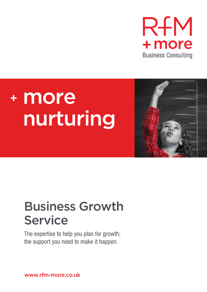

# <sup>+</sup> more nurturing



## Business Growth **Service**

The expertise to help you plan for growth; the support you need to make it happen.

www.rfm-more.co.uk